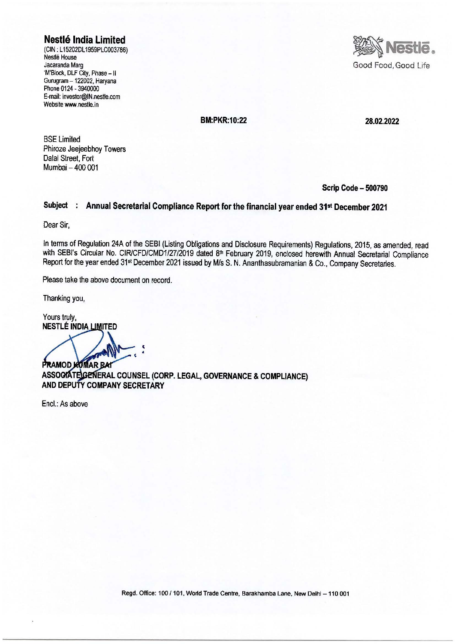**Nestle India Limited** 

(CIN: L15202DL 1959PLC003786) Nestle House Jacaranda Marg 'M'Block, DLF City, Phase - II Gurugram - 122002, Haryana Phone 0124 -3940000 E-mail: investor@IN.nestle.com Website www.nestle.in



**BM:PKR:10:22 28.02.2022** 

BSE Limited Phiroze Jeejeebhoy Towers Dalal Street, Fort Mumbai - 400 001

**Scrip Code - 500790** 

#### **Subject Annual Secretarial Compliance Report for the financial year ended 31st December 2021**

Dear Sir,

In terms of Regulation 24A of the SEBI (Listing Obligations and Disclosure Requirements) Regulations, 2015, as amended, read with SEBI's Circular No. CIR/CFD/CMD1/27/2019 dated 8<sup>th</sup> February 2019, enclosed herewith Annual Secretarial Compliance Report for the year ended 31st December 2021 issued by Mis S. N. Ananthasubramanian & Co., Company Secretaries.

Please take the above document on record.

Thanking you,

Yours truly, **NESTLÉ INDIA LIMITED** 

**PRAMOD KUMAR BAI**  $\ddot{\cdot}$ 

**ERAL COUNSEL (CORP. LEGAL, GOVERNANCE & COMPLIANCE) AND DEPUTY COMPANY SECRETARY** 

Encl.: As above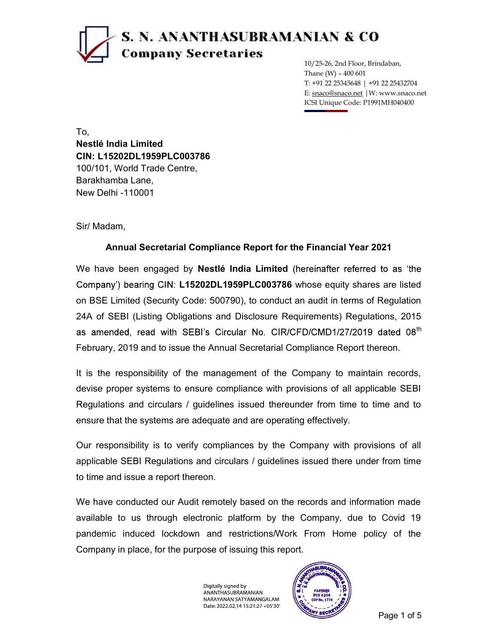# S. N. ANANTHASUBRAMANIAN & CO **Company Secretaries**

10/25-26, 2nd Floor, Brindaban, Thane  $(W)$  - 400 601 T: +91 22 25345648 | +91 22 25432704 E: snaco@snaco.net |W: www.snaco.net ICSI Unique Code: P1991MH040400

To, Nestlé India Limited CIN: L15202DL1959PLC003786 100/101, World Trade Centre, Barakhamba Lane, New Delhi -110001

Sir/ Madam,

### Annual Secretarial Compliance Report for the Financial Year 2021

We have been engaged by **Nestlé India Limited** (hereinafter referred to as 'the Company') bearing CIN: L15202DL1959PLC003786 whose equity shares are listed on BSE Limited (Security Code: 500790), to conduct an audit in terms of Regulation 24A of SEBI (Listing Obligations and Disclosure Requirements) Regulations, 2015 as amended, read with SEBI's Circular No. CIR/CFD/CMD1/27/2019 dated 08<sup>th</sup> February, 2019 and to issue the Annual Secretarial Compliance Report thereon.

It is the responsibility of the management of the Company to maintain records, devise proper systems to ensure compliance with provisions of all applicable SEBI Regulations and circulars / guidelines issued thereunder from time to time and to ensure that the systems are adequate and are operating effectively.

Our responsibility is to verify compliances by the Company with provisions of all applicable SEBI Regulations and circulars / guidelines issued there under from time to time and issue a report thereon.

We have conducted our Audit remotely based on the records and information made available to us through electronic platform by the Company, due to Covid 19 pandemic induced lockdown and restrictions/Work From Home policy of the Company in place, for the purpose of issuing this report.

> Digitally signed by ANANTHASUBRAMANIAN NARAYANAN SATYAMANGALAM Date: 2022.02.14 15:21:27 +05'30'

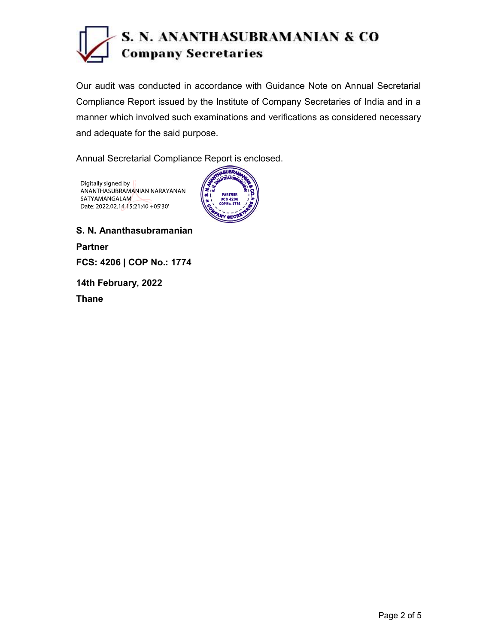

Our audit was conducted in accordance with Guidance Note on Annual Secretarial Compliance Report issued by the Institute of Company Secretaries of India and in a manner which involved such examinations and verifications as considered necessary and adequate for the said purpose.

Annual Secretarial Compliance Report is enclosed.

Digitally signed by ANANTHASUBRAMANIAN NARAYANAN SATYAMANGALAM Date: 2022.02.14 15:21:40 +05'30'



S. N. Ananthasubramanian Partner FCS: 4206 | COP No.: 1774 14th February, 2022 Thane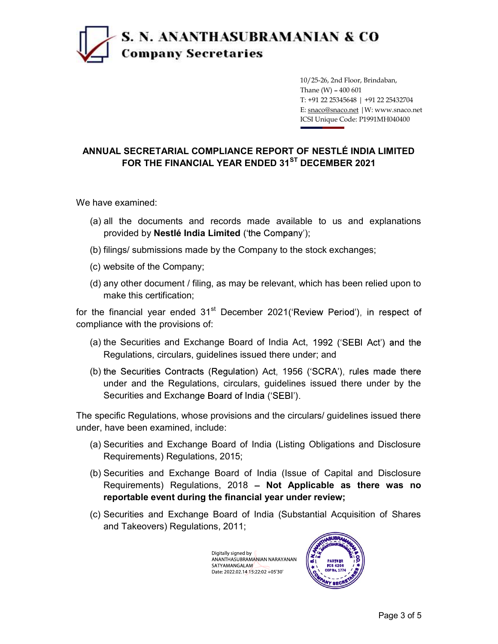## S. N. ANANTHASUBRAMANIAN & CO **Company Secretaries**

10/25-26, 2nd Floor, Brindaban, Thane  $(W)$  - 400 601 T: +91 22 25345648 | +91 22 25432704 E: snaco@snaco.net |W: www.snaco.net ICSI Unique Code: P1991MH040400

### ANNUAL SECRETARIAL COMPLIANCE REPORT OF NESTLÉ INDIA LIMITED FOR THE FINANCIAL YEAR ENDED 31<sup>ST</sup> DECEMBER 2021

We have examined:

- (a) all the documents and records made available to us and explanations provided by Nestlé India Limited ('the Company');
- (b) filings/ submissions made by the Company to the stock exchanges;
- (c) website of the Company;
- (d) any other document / filing, as may be relevant, which has been relied upon to make this certification;

for the financial year ended  $31<sup>st</sup>$  December 2021('Review Period'), in respect of compliance with the provisions of:

- (a) the Securities and Exchange Board of India Act, Regulations, circulars, guidelines issued there under; and
- (b) the Securities Contracts (Regulation) Act, 1956 ('SCRA'), rules made there under and the Regulations, circulars, guidelines issued there under by the Securities and Exchange Board of India ('SEBI').

The specific Regulations, whose provisions and the circulars/ guidelines issued there under, have been examined, include:

- (a) Securities and Exchange Board of India (Listing Obligations and Disclosure Requirements) Regulations, 2015;
- (b) Securities and Exchange Board of India (Issue of Capital and Disclosure Requirements) Regulations, 2018  $-$  Not Applicable as there was no reportable event during the financial year under review;
- (c) Securities and Exchange Board of India (Substantial Acquisition of Shares and Takeovers) Regulations, 2011;

Digitally signed by ANANTHASUBRAMANIAN NARAYANAN SATYAMANGALAM Date: 2022.02.14 15:22:02 +05'30'

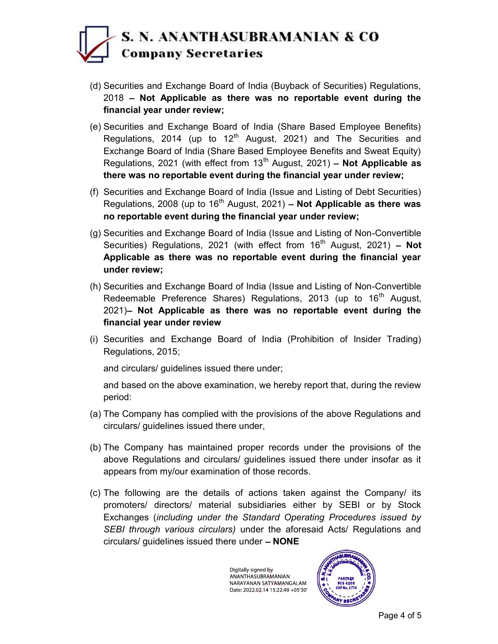### S. N. ANANTHASUBRAMANIAN & CO **Company Secretaries**

- (d) Securities and Exchange Board of India (Buyback of Securities) Regulations,  $2018$  – Not Applicable as there was no reportable event during the financial year under review;
- (e) Securities and Exchange Board of India (Share Based Employee Benefits) Regulations, 2014 (up to  $12<sup>th</sup>$  August, 2021) and The Securities and Exchange Board of India (Share Based Employee Benefits and Sweat Equity) Regulations, 2021 (with effect from 13<sup>th</sup> August, 2021) - Not Applicable as there was no reportable event during the financial year under review;
- (f) Securities and Exchange Board of India (Issue and Listing of Debt Securities) Regulations, 2008 (up to  $16<sup>th</sup>$  August, 2021) – Not Applicable as there was no reportable event during the financial year under review;
- (g) Securities and Exchange Board of India (Issue and Listing of Non-Convertible Securities) Regulations, 2021 (with effect from  $16<sup>th</sup>$  August, 2021) - Not Applicable as there was no reportable event during the financial year under review;
- (h) Securities and Exchange Board of India (Issue and Listing of Non-Convertible Redeemable Preference Shares) Regulations, 2013 (up to  $16<sup>th</sup>$  August,  $2021$  Not Applicable as there was no reportable event during the financial year under review
- (i) Securities and Exchange Board of India (Prohibition of Insider Trading) Regulations, 2015;

and circulars/ guidelines issued there under;

and based on the above examination, we hereby report that, during the review period:

- (a) The Company has complied with the provisions of the above Regulations and circulars/ guidelines issued there under,
- (b) The Company has maintained proper records under the provisions of the above Regulations and circulars/ guidelines issued there under insofar as it appears from my/our examination of those records.
- (c) The following are the details of actions taken against the Company/ its promoters/ directors/ material subsidiaries either by SEBI or by Stock Exchanges (including under the Standard Operating Procedures issued by SEBI through various circulars) under the aforesaid Acts/ Regulations and  $circulars/$  guidelines issued there under  $-$  **NONE**